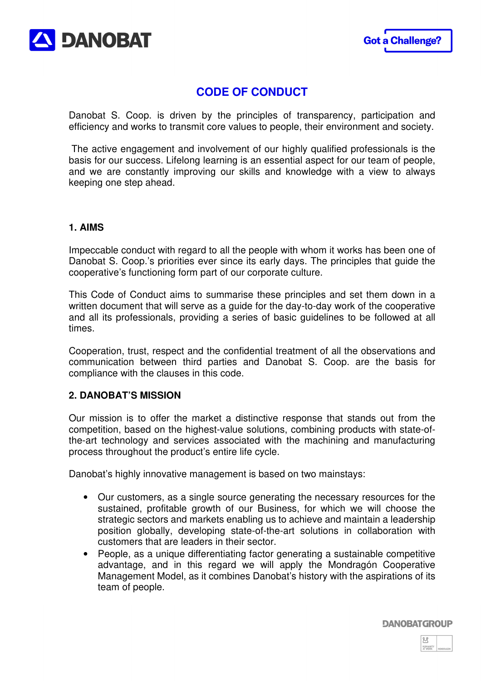



# **CODE OF CONDUCT**

Danobat S. Coop. is driven by the principles of transparency, participation and efficiency and works to transmit core values to people, their environment and society.

 The active engagement and involvement of our highly qualified professionals is the basis for our success. Lifelong learning is an essential aspect for our team of people, and we are constantly improving our skills and knowledge with a view to always keeping one step ahead.

## **1. AIMS**

Impeccable conduct with regard to all the people with whom it works has been one of Danobat S. Coop.'s priorities ever since its early days. The principles that guide the cooperative's functioning form part of our corporate culture.

This Code of Conduct aims to summarise these principles and set them down in a written document that will serve as a guide for the day-to-day work of the cooperative and all its professionals, providing a series of basic guidelines to be followed at all times.

Cooperation, trust, respect and the confidential treatment of all the observations and communication between third parties and Danobat S. Coop. are the basis for compliance with the clauses in this code.

## **2. DANOBAT'S MISSION**

Our mission is to offer the market a distinctive response that stands out from the competition, based on the highest-value solutions, combining products with state-ofthe-art technology and services associated with the machining and manufacturing process throughout the product's entire life cycle.

Danobat's highly innovative management is based on two mainstays:

- Our customers, as a single source generating the necessary resources for the sustained, profitable growth of our Business, for which we will choose the strategic sectors and markets enabling us to achieve and maintain a leadership position globally, developing state-of-the-art solutions in collaboration with customers that are leaders in their sector.
- People, as a unique differentiating factor generating a sustainable competitive advantage, and in this regard we will apply the Mondragón Cooperative Management Model, as it combines Danobat's history with the aspirations of its team of people.

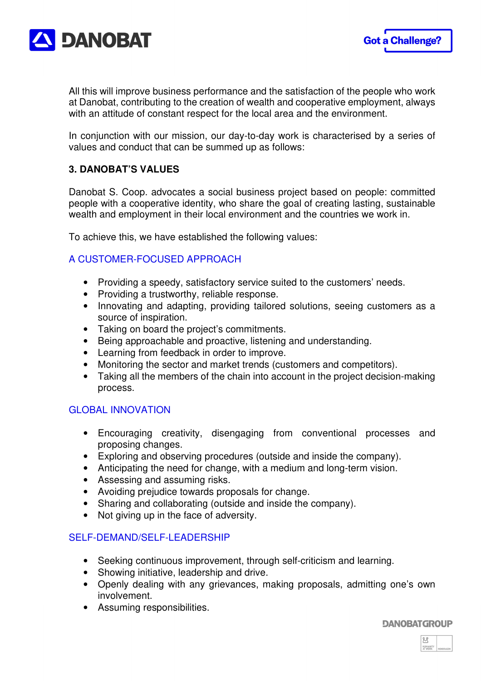

All this will improve business performance and the satisfaction of the people who work at Danobat, contributing to the creation of wealth and cooperative employment, always with an attitude of constant respect for the local area and the environment.

In conjunction with our mission, our day-to-day work is characterised by a series of values and conduct that can be summed up as follows:

## **3. DANOBAT'S VALUES**

Danobat S. Coop. advocates a social business project based on people: committed people with a cooperative identity, who share the goal of creating lasting, sustainable wealth and employment in their local environment and the countries we work in.

To achieve this, we have established the following values:

## A CUSTOMER-FOCUSED APPROACH

- Providing a speedy, satisfactory service suited to the customers' needs.
- Providing a trustworthy, reliable response.
- Innovating and adapting, providing tailored solutions, seeing customers as a source of inspiration.
- Taking on board the project's commitments.
- Being approachable and proactive, listening and understanding.
- Learning from feedback in order to improve.
- Monitoring the sector and market trends (customers and competitors).
- Taking all the members of the chain into account in the project decision-making process.

## GLOBAL INNOVATION

- Encouraging creativity, disengaging from conventional processes and proposing changes.
- Exploring and observing procedures (outside and inside the company).
- Anticipating the need for change, with a medium and long-term vision.
- Assessing and assuming risks.
- Avoiding prejudice towards proposals for change.
- Sharing and collaborating (outside and inside the company).
- Not giving up in the face of adversity.

## SELF-DEMAND/SELF-LEADERSHIP

- Seeking continuous improvement, through self-criticism and learning.
- Showing initiative, leadership and drive.
- Openly dealing with any grievances, making proposals, admitting one's own involvement.
- Assuming responsibilities.

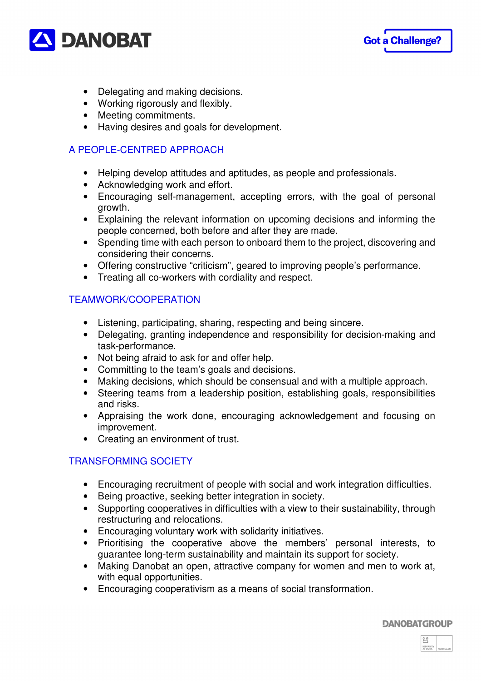



- Delegating and making decisions.
- Working rigorously and flexibly.
- Meeting commitments.
- Having desires and goals for development.

## A PEOPLE-CENTRED APPROACH

- Helping develop attitudes and aptitudes, as people and professionals.
- Acknowledging work and effort.
- Encouraging self-management, accepting errors, with the goal of personal growth.
- Explaining the relevant information on upcoming decisions and informing the people concerned, both before and after they are made.
- Spending time with each person to onboard them to the project, discovering and considering their concerns.
- Offering constructive "criticism", geared to improving people's performance.
- Treating all co-workers with cordiality and respect.

## TEAMWORK/COOPERATION

- Listening, participating, sharing, respecting and being sincere.
- Delegating, granting independence and responsibility for decision-making and task-performance.
- Not being afraid to ask for and offer help.
- Committing to the team's goals and decisions.
- Making decisions, which should be consensual and with a multiple approach.
- Steering teams from a leadership position, establishing goals, responsibilities and risks.
- Appraising the work done, encouraging acknowledgement and focusing on improvement.
- Creating an environment of trust.

## TRANSFORMING SOCIETY

- Encouraging recruitment of people with social and work integration difficulties.
- Being proactive, seeking better integration in society.
- Supporting cooperatives in difficulties with a view to their sustainability, through restructuring and relocations.
- Encouraging voluntary work with solidarity initiatives.
- Prioritising the cooperative above the members' personal interests, to guarantee long-term sustainability and maintain its support for society.
- Making Danobat an open, attractive company for women and men to work at, with equal opportunities.
- Encouraging cooperativism as a means of social transformation.

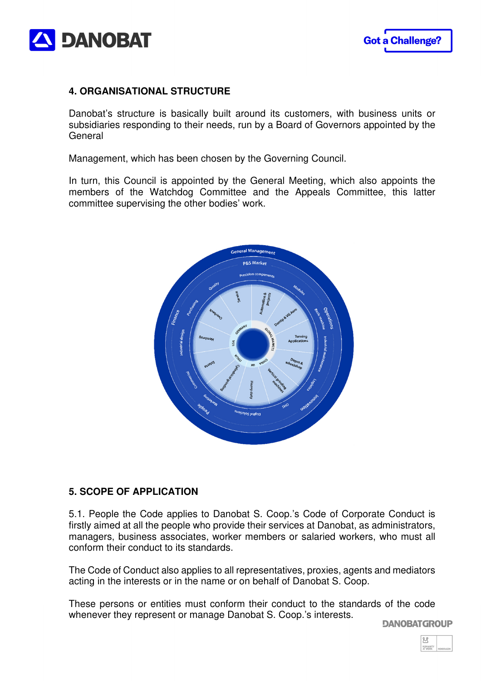

## **4. ORGANISATIONAL STRUCTURE**

Danobat's structure is basically built around its customers, with business units or subsidiaries responding to their needs, run by a Board of Governors appointed by the **General** 

Management, which has been chosen by the Governing Council.

In turn, this Council is appointed by the General Meeting, which also appoints the members of the Watchdog Committee and the Appeals Committee, this latter committee supervising the other bodies' work.



## **5. SCOPE OF APPLICATION**

5.1. People the Code applies to Danobat S. Coop.'s Code of Corporate Conduct is firstly aimed at all the people who provide their services at Danobat, as administrators, managers, business associates, worker members or salaried workers, who must all conform their conduct to its standards.

The Code of Conduct also applies to all representatives, proxies, agents and mediators acting in the interests or in the name or on behalf of Danobat S. Coop.

These persons or entities must conform their conduct to the standards of the code whenever they represent or manage Danobat S. Coop.'s interests.

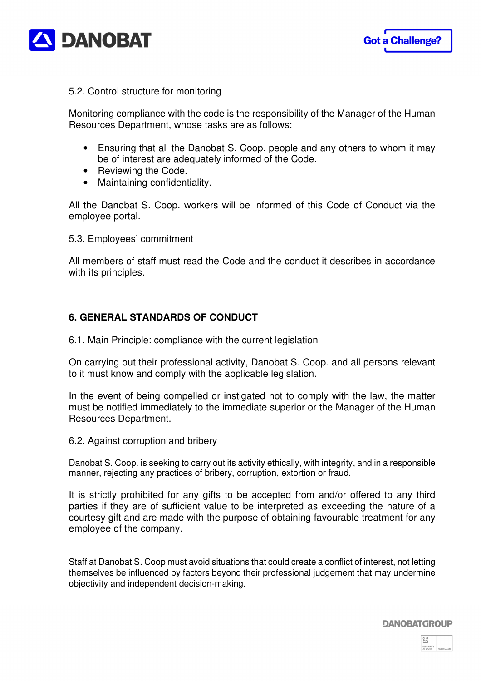



#### 5.2. Control structure for monitoring

Monitoring compliance with the code is the responsibility of the Manager of the Human Resources Department, whose tasks are as follows:

- Ensuring that all the Danobat S. Coop. people and any others to whom it may be of interest are adequately informed of the Code.
- Reviewing the Code.
- Maintaining confidentiality.

All the Danobat S. Coop. workers will be informed of this Code of Conduct via the employee portal.

5.3. Employees' commitment

All members of staff must read the Code and the conduct it describes in accordance with its principles.

## **6. GENERAL STANDARDS OF CONDUCT**

6.1. Main Principle: compliance with the current legislation

On carrying out their professional activity, Danobat S. Coop. and all persons relevant to it must know and comply with the applicable legislation.

In the event of being compelled or instigated not to comply with the law, the matter must be notified immediately to the immediate superior or the Manager of the Human Resources Department.

6.2. Against corruption and bribery

Danobat S. Coop. is seeking to carry out its activity ethically, with integrity, and in a responsible manner, rejecting any practices of bribery, corruption, extortion or fraud.

It is strictly prohibited for any gifts to be accepted from and/or offered to any third parties if they are of sufficient value to be interpreted as exceeding the nature of a courtesy gift and are made with the purpose of obtaining favourable treatment for any employee of the company.

Staff at Danobat S. Coop must avoid situations that could create a conflict of interest, not letting themselves be influenced by factors beyond their professional judgement that may undermine objectivity and independent decision-making.

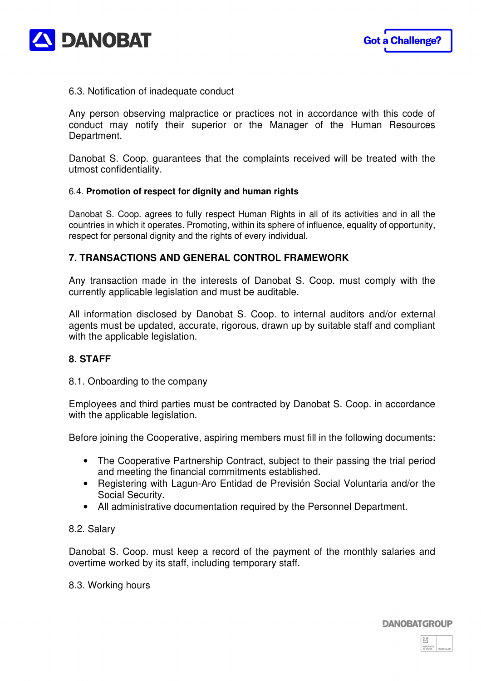

#### 6.3. Notification of inadequate conduct

Any person observing malpractice or practices not in accordance with this code of conduct may notify their superior or the Manager of the Human Resources Department.

Danobat S. Coop. guarantees that the complaints received will be treated with the utmost confidentiality.

#### 6.4. **Promotion of respect for dignity and human rights**

Danobat S. Coop. agrees to fully respect Human Rights in all of its activities and in all the countries in which it operates. Promoting, within its sphere of influence, equality of opportunity, respect for personal dignity and the rights of every individual.

#### **7. TRANSACTIONS AND GENERAL CONTROL FRAMEWORK**

Any transaction made in the interests of Danobat S. Coop. must comply with the currently applicable legislation and must be auditable.

All information disclosed by Danobat S. Coop. to internal auditors and/or external agents must be updated, accurate, rigorous, drawn up by suitable staff and compliant with the applicable legislation.

#### **8. STAFF**

8.1. Onboarding to the company

Employees and third parties must be contracted by Danobat S. Coop. in accordance with the applicable legislation.

Before joining the Cooperative, aspiring members must fill in the following documents:

- The Cooperative Partnership Contract, subject to their passing the trial period and meeting the financial commitments established.
- Registering with Lagun-Aro Entidad de Previsión Social Voluntaria and/or the Social Security.
- All administrative documentation required by the Personnel Department.

#### 8.2. Salary

Danobat S. Coop. must keep a record of the payment of the monthly salaries and overtime worked by its staff, including temporary staff.

8.3. Working hours

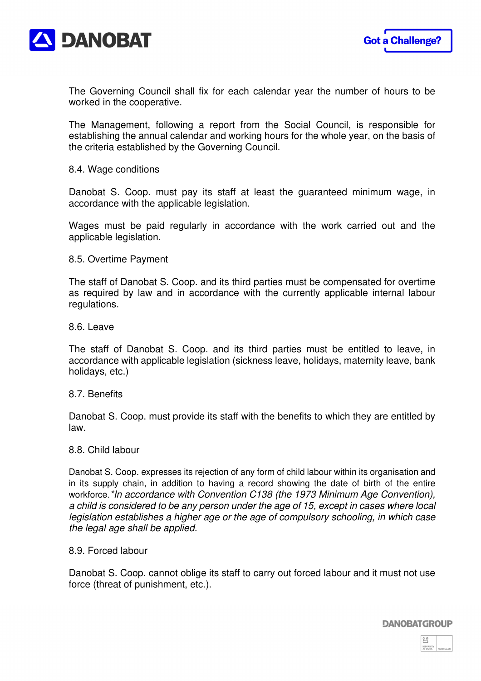

The Governing Council shall fix for each calendar year the number of hours to be worked in the cooperative.

The Management, following a report from the Social Council, is responsible for establishing the annual calendar and working hours for the whole year, on the basis of the criteria established by the Governing Council.

#### 8.4. Wage conditions

Danobat S. Coop. must pay its staff at least the guaranteed minimum wage, in accordance with the applicable legislation.

Wages must be paid regularly in accordance with the work carried out and the applicable legislation.

#### 8.5. Overtime Payment

The staff of Danobat S. Coop. and its third parties must be compensated for overtime as required by law and in accordance with the currently applicable internal labour regulations.

8.6. Leave

The staff of Danobat S. Coop. and its third parties must be entitled to leave, in accordance with applicable legislation (sickness leave, holidays, maternity leave, bank holidays, etc.)

#### 8.7. Benefits

Danobat S. Coop. must provide its staff with the benefits to which they are entitled by law.

#### 8.8. Child labour

Danobat S. Coop. expresses its rejection of any form of child labour within its organisation and in its supply chain, in addition to having a record showing the date of birth of the entire workforce.\*In accordance with Convention C138 (the 1973 Minimum Age Convention), a child is considered to be any person under the age of 15, except in cases where local legislation establishes a higher age or the age of compulsory schooling, in which case the legal age shall be applied.

#### 8.9. Forced labour

Danobat S. Coop. cannot oblige its staff to carry out forced labour and it must not use force (threat of punishment, etc.).

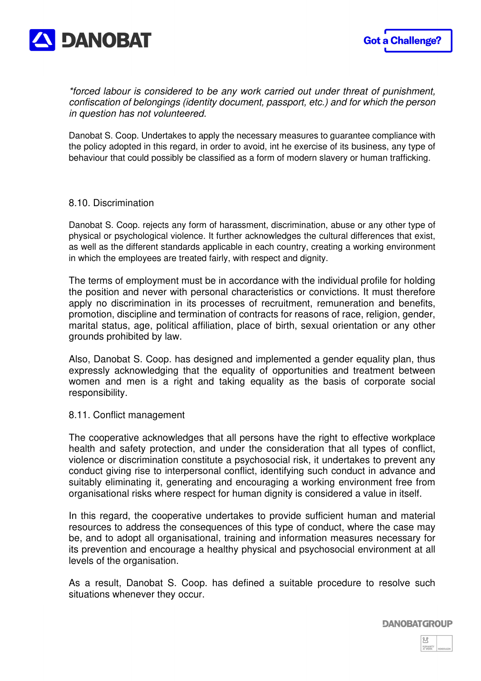

\*forced labour is considered to be any work carried out under threat of punishment, confiscation of belongings (identity document, passport, etc.) and for which the person in question has not volunteered.

Danobat S. Coop. Undertakes to apply the necessary measures to guarantee compliance with the policy adopted in this regard, in order to avoid, int he exercise of its business, any type of behaviour that could possibly be classified as a form of modern slavery or human trafficking.

#### 8.10. Discrimination

Danobat S. Coop. rejects any form of harassment, discrimination, abuse or any other type of physical or psychological violence. It further acknowledges the cultural differences that exist, as well as the different standards applicable in each country, creating a working environment in which the employees are treated fairly, with respect and dignity.

The terms of employment must be in accordance with the individual profile for holding the position and never with personal characteristics or convictions. It must therefore apply no discrimination in its processes of recruitment, remuneration and benefits, promotion, discipline and termination of contracts for reasons of race, religion, gender, marital status, age, political affiliation, place of birth, sexual orientation or any other grounds prohibited by law.

Also, Danobat S. Coop. has designed and implemented a gender equality plan, thus expressly acknowledging that the equality of opportunities and treatment between women and men is a right and taking equality as the basis of corporate social responsibility.

#### 8.11. Conflict management

The cooperative acknowledges that all persons have the right to effective workplace health and safety protection, and under the consideration that all types of conflict, violence or discrimination constitute a psychosocial risk, it undertakes to prevent any conduct giving rise to interpersonal conflict, identifying such conduct in advance and suitably eliminating it, generating and encouraging a working environment free from organisational risks where respect for human dignity is considered a value in itself.

In this regard, the cooperative undertakes to provide sufficient human and material resources to address the consequences of this type of conduct, where the case may be, and to adopt all organisational, training and information measures necessary for its prevention and encourage a healthy physical and psychosocial environment at all levels of the organisation.

As a result, Danobat S. Coop. has defined a suitable procedure to resolve such situations whenever they occur.

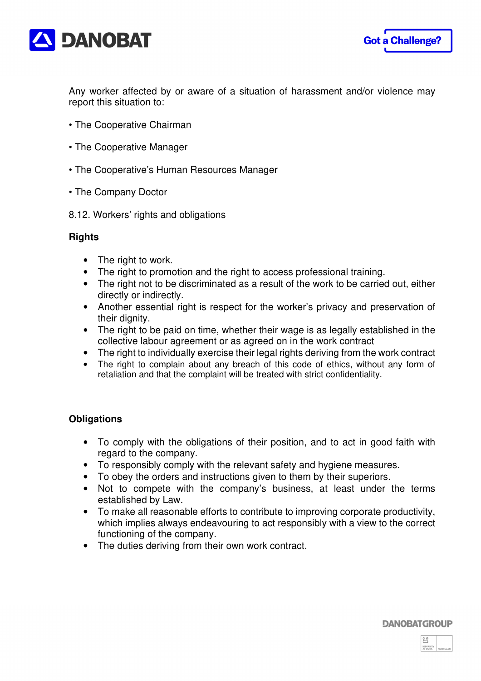



Any worker affected by or aware of a situation of harassment and/or violence may report this situation to:

- The Cooperative Chairman
- The Cooperative Manager
- The Cooperative's Human Resources Manager
- The Company Doctor
- 8.12. Workers' rights and obligations

## **Rights**

- The right to work.
- The right to promotion and the right to access professional training.
- The right not to be discriminated as a result of the work to be carried out, either directly or indirectly.
- Another essential right is respect for the worker's privacy and preservation of their dignity.
- The right to be paid on time, whether their wage is as legally established in the collective labour agreement or as agreed on in the work contract
- The right to individually exercise their legal rights deriving from the work contract
- The right to complain about any breach of this code of ethics, without any form of retaliation and that the complaint will be treated with strict confidentiality.

## **Obligations**

- To comply with the obligations of their position, and to act in good faith with regard to the company.
- To responsibly comply with the relevant safety and hygiene measures.
- To obey the orders and instructions given to them by their superiors.
- Not to compete with the company's business, at least under the terms established by Law.
- To make all reasonable efforts to contribute to improving corporate productivity, which implies always endeavouring to act responsibly with a view to the correct functioning of the company.
- The duties deriving from their own work contract.

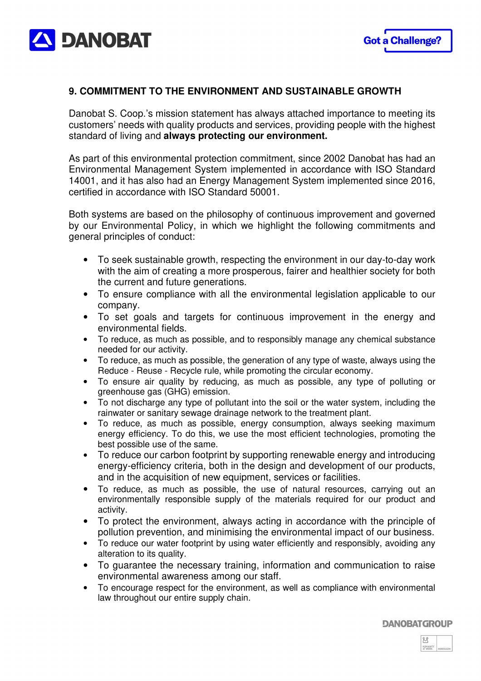

## **9. COMMITMENT TO THE ENVIRONMENT AND SUSTAINABLE GROWTH**

Danobat S. Coop.'s mission statement has always attached importance to meeting its customers' needs with quality products and services, providing people with the highest standard of living and **always protecting our environment.**

As part of this environmental protection commitment, since 2002 Danobat has had an Environmental Management System implemented in accordance with ISO Standard 14001, and it has also had an Energy Management System implemented since 2016, certified in accordance with ISO Standard 50001.

Both systems are based on the philosophy of continuous improvement and governed by our Environmental Policy, in which we highlight the following commitments and general principles of conduct:

- To seek sustainable growth, respecting the environment in our day-to-day work with the aim of creating a more prosperous, fairer and healthier society for both the current and future generations.
- To ensure compliance with all the environmental legislation applicable to our company.
- To set goals and targets for continuous improvement in the energy and environmental fields.
- To reduce, as much as possible, and to responsibly manage any chemical substance needed for our activity.
- To reduce, as much as possible, the generation of any type of waste, always using the Reduce - Reuse - Recycle rule, while promoting the circular economy.
- To ensure air quality by reducing, as much as possible, any type of polluting or greenhouse gas (GHG) emission.
- To not discharge any type of pollutant into the soil or the water system, including the rainwater or sanitary sewage drainage network to the treatment plant.
- To reduce, as much as possible, energy consumption, always seeking maximum energy efficiency. To do this, we use the most efficient technologies, promoting the best possible use of the same.
- To reduce our carbon footprint by supporting renewable energy and introducing energy-efficiency criteria, both in the design and development of our products, and in the acquisition of new equipment, services or facilities.
- To reduce, as much as possible, the use of natural resources, carrying out an environmentally responsible supply of the materials required for our product and activity.
- To protect the environment, always acting in accordance with the principle of pollution prevention, and minimising the environmental impact of our business.
- To reduce our water footprint by using water efficiently and responsibly, avoiding any alteration to its quality.
- To guarantee the necessary training, information and communication to raise environmental awareness among our staff.
- To encourage respect for the environment, as well as compliance with environmental law throughout our entire supply chain.

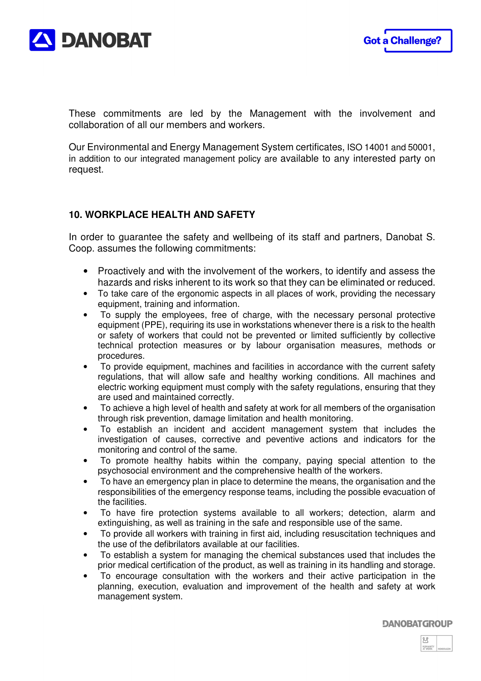

These commitments are led by the Management with the involvement and collaboration of all our members and workers.

Our Environmental and Energy Management System certificates, ISO 14001 and 50001, in addition to our integrated management policy are available to any interested party on request.

## **10. WORKPLACE HEALTH AND SAFETY**

In order to guarantee the safety and wellbeing of its staff and partners, Danobat S. Coop. assumes the following commitments:

- Proactively and with the involvement of the workers, to identify and assess the hazards and risks inherent to its work so that they can be eliminated or reduced.
- To take care of the ergonomic aspects in all places of work, providing the necessary equipment, training and information.
- To supply the employees, free of charge, with the necessary personal protective equipment (PPE), requiring its use in workstations whenever there is a risk to the health or safety of workers that could not be prevented or limited sufficiently by collective technical protection measures or by labour organisation measures, methods or procedures.
- To provide equipment, machines and facilities in accordance with the current safety regulations, that will allow safe and healthy working conditions. All machines and electric working equipment must comply with the safety regulations, ensuring that they are used and maintained correctly.
- To achieve a high level of health and safety at work for all members of the organisation through risk prevention, damage limitation and health monitoring.
- To establish an incident and accident management system that includes the investigation of causes, corrective and peventive actions and indicators for the monitoring and control of the same.
- To promote healthy habits within the company, paying special attention to the psychosocial environment and the comprehensive health of the workers.
- To have an emergency plan in place to determine the means, the organisation and the responsibilities of the emergency response teams, including the possible evacuation of the facilities.
- To have fire protection systems available to all workers; detection, alarm and extinguishing, as well as training in the safe and responsible use of the same.
- To provide all workers with training in first aid, including resuscitation techniques and the use of the defibrilators available at our facilities.
- To establish a system for managing the chemical substances used that includes the prior medical certification of the product, as well as training in its handling and storage.
- To encourage consultation with the workers and their active participation in the planning, execution, evaluation and improvement of the health and safety at work management system.

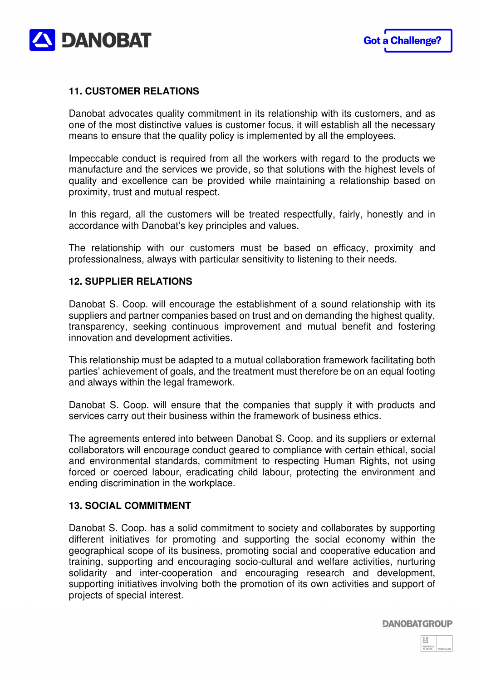

## **11. CUSTOMER RELATIONS**

Danobat advocates quality commitment in its relationship with its customers, and as one of the most distinctive values is customer focus, it will establish all the necessary means to ensure that the quality policy is implemented by all the employees.

Impeccable conduct is required from all the workers with regard to the products we manufacture and the services we provide, so that solutions with the highest levels of quality and excellence can be provided while maintaining a relationship based on proximity, trust and mutual respect.

In this regard, all the customers will be treated respectfully, fairly, honestly and in accordance with Danobat's key principles and values.

The relationship with our customers must be based on efficacy, proximity and professionalness, always with particular sensitivity to listening to their needs.

#### **12. SUPPLIER RELATIONS**

Danobat S. Coop. will encourage the establishment of a sound relationship with its suppliers and partner companies based on trust and on demanding the highest quality, transparency, seeking continuous improvement and mutual benefit and fostering innovation and development activities.

This relationship must be adapted to a mutual collaboration framework facilitating both parties' achievement of goals, and the treatment must therefore be on an equal footing and always within the legal framework.

Danobat S. Coop. will ensure that the companies that supply it with products and services carry out their business within the framework of business ethics.

The agreements entered into between Danobat S. Coop. and its suppliers or external collaborators will encourage conduct geared to compliance with certain ethical, social and environmental standards, commitment to respecting Human Rights, not using forced or coerced labour, eradicating child labour, protecting the environment and ending discrimination in the workplace.

#### **13. SOCIAL COMMITMENT**

Danobat S. Coop. has a solid commitment to society and collaborates by supporting different initiatives for promoting and supporting the social economy within the geographical scope of its business, promoting social and cooperative education and training, supporting and encouraging socio-cultural and welfare activities, nurturing solidarity and inter-cooperation and encouraging research and development, supporting initiatives involving both the promotion of its own activities and support of projects of special interest.

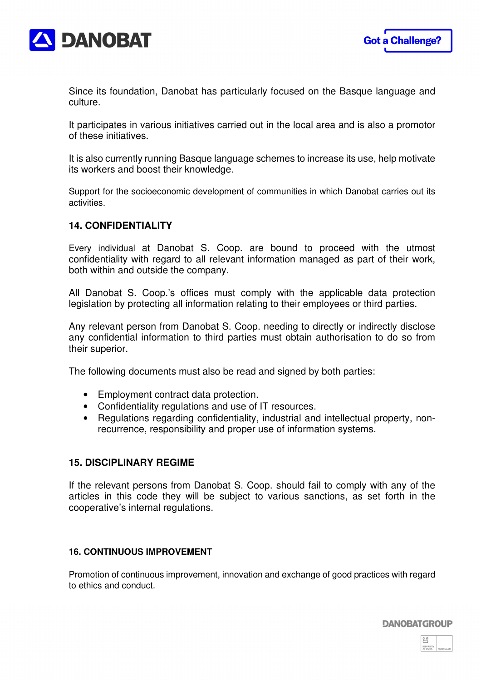



Since its foundation, Danobat has particularly focused on the Basque language and culture.

It participates in various initiatives carried out in the local area and is also a promotor of these initiatives.

It is also currently running Basque language schemes to increase its use, help motivate its workers and boost their knowledge.

Support for the socioeconomic development of communities in which Danobat carries out its activities.

#### **14. CONFIDENTIALITY**

Every individual at Danobat S. Coop. are bound to proceed with the utmost confidentiality with regard to all relevant information managed as part of their work, both within and outside the company.

All Danobat S. Coop.'s offices must comply with the applicable data protection legislation by protecting all information relating to their employees or third parties.

Any relevant person from Danobat S. Coop. needing to directly or indirectly disclose any confidential information to third parties must obtain authorisation to do so from their superior.

The following documents must also be read and signed by both parties:

- Employment contract data protection.
- Confidentiality regulations and use of IT resources.
- Regulations regarding confidentiality, industrial and intellectual property, nonrecurrence, responsibility and proper use of information systems.

#### **15. DISCIPLINARY REGIME**

If the relevant persons from Danobat S. Coop. should fail to comply with any of the articles in this code they will be subject to various sanctions, as set forth in the cooperative's internal regulations.

#### **16. CONTINUOUS IMPROVEMENT**

Promotion of continuous improvement, innovation and exchange of good practices with regard to ethics and conduct.